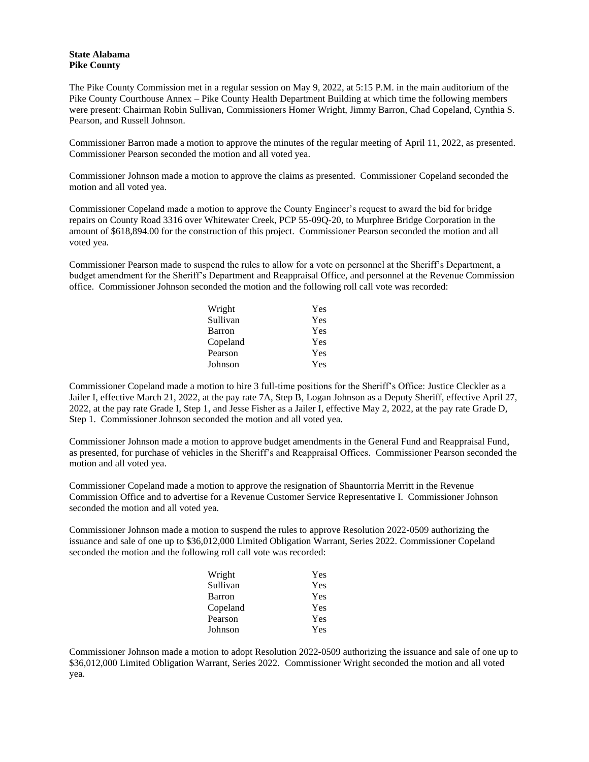## **State Alabama Pike County**

The Pike County Commission met in a regular session on May 9, 2022, at 5:15 P.M. in the main auditorium of the Pike County Courthouse Annex – Pike County Health Department Building at which time the following members were present: Chairman Robin Sullivan, Commissioners Homer Wright, Jimmy Barron, Chad Copeland, Cynthia S. Pearson, and Russell Johnson.

Commissioner Barron made a motion to approve the minutes of the regular meeting of April 11, 2022, as presented. Commissioner Pearson seconded the motion and all voted yea.

Commissioner Johnson made a motion to approve the claims as presented. Commissioner Copeland seconded the motion and all voted yea.

Commissioner Copeland made a motion to approve the County Engineer's request to award the bid for bridge repairs on County Road 3316 over Whitewater Creek, PCP 55-09Q-20, to Murphree Bridge Corporation in the amount of \$618,894.00 for the construction of this project. Commissioner Pearson seconded the motion and all voted yea.

Commissioner Pearson made to suspend the rules to allow for a vote on personnel at the Sheriff's Department, a budget amendment for the Sheriff's Department and Reappraisal Office, and personnel at the Revenue Commission office. Commissioner Johnson seconded the motion and the following roll call vote was recorded:

| Wright   | Yes |
|----------|-----|
| Sullivan | Yes |
| Barron   | Yes |
| Copeland | Yes |
| Pearson  | Yes |
| Johnson  | Yes |

Commissioner Copeland made a motion to hire 3 full-time positions for the Sheriff's Office: Justice Cleckler as a Jailer I, effective March 21, 2022, at the pay rate 7A, Step B, Logan Johnson as a Deputy Sheriff, effective April 27, 2022, at the pay rate Grade I, Step 1, and Jesse Fisher as a Jailer I, effective May 2, 2022, at the pay rate Grade D, Step 1. Commissioner Johnson seconded the motion and all voted yea.

Commissioner Johnson made a motion to approve budget amendments in the General Fund and Reappraisal Fund, as presented, for purchase of vehicles in the Sheriff's and Reappraisal Offices. Commissioner Pearson seconded the motion and all voted yea.

Commissioner Copeland made a motion to approve the resignation of Shauntorria Merritt in the Revenue Commission Office and to advertise for a Revenue Customer Service Representative I. Commissioner Johnson seconded the motion and all voted yea.

Commissioner Johnson made a motion to suspend the rules to approve Resolution 2022-0509 authorizing the issuance and sale of one up to \$36,012,000 Limited Obligation Warrant, Series 2022. Commissioner Copeland seconded the motion and the following roll call vote was recorded:

| Wright        | Yes |
|---------------|-----|
| Sullivan      | Yes |
| <b>Barron</b> | Yes |
| Copeland      | Yes |
| Pearson       | Yes |
| Johnson       | Yes |

Commissioner Johnson made a motion to adopt Resolution 2022-0509 authorizing the issuance and sale of one up to \$36,012,000 Limited Obligation Warrant, Series 2022. Commissioner Wright seconded the motion and all voted yea.